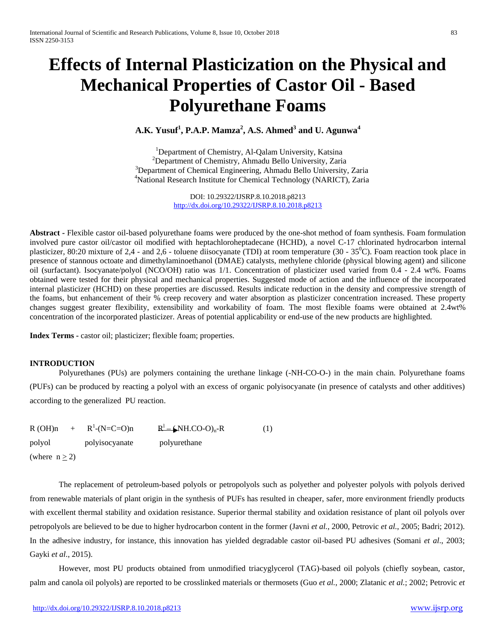# **Effects of Internal Plasticization on the Physical and Mechanical Properties of Castor Oil - Based Polyurethane Foams**

# **A.K. Yusuf<sup>1</sup> , P.A.P. Mamza<sup>2</sup> , A.S. Ahmed<sup>3</sup> and U. Agunwa<sup>4</sup>**

<sup>1</sup>Department of Chemistry, Al-Qalam University, Katsina<br><sup>2</sup>Department of Chemistry, Ahmadu Ballo University, Zeria <sup>2</sup>Department of Chemistry, Ahmadu Bello University, Zaria <sup>3</sup>Department of Chemical Engineering, Ahmadu Bello University, Zaria <sup>4</sup> National Research Institute for Chemical Technology (NARICT), Zaria

> DOI: 10.29322/IJSRP.8.10.2018.p8213 <http://dx.doi.org/10.29322/IJSRP.8.10.2018.p8213>

**Abstract -** Flexible castor oil-based polyurethane foams were produced by the one-shot method of foam synthesis. Foam formulation involved pure castor oil/castor oil modified with heptachloroheptadecane (HCHD), a novel C-17 chlorinated hydrocarbon internal plasticizer, 80:20 mixture of 2,4 - and 2,6 - toluene diisocyanate (TDI) at room temperature (30 -  $35^{\circ}$ C). Foam reaction took place in presence of stannous octoate and dimethylaminoethanol (DMAE) catalysts, methylene chloride (physical blowing agent) and silicone oil (surfactant). Isocyanate/polyol (NCO/OH) ratio was 1/1. Concentration of plasticizer used varied from 0.4 - 2.4 wt%. Foams obtained were tested for their physical and mechanical properties. Suggested mode of action and the influence of the incorporated internal plasticizer (HCHD) on these properties are discussed. Results indicate reduction in the density and compressive strength of the foams, but enhancement of their % creep recovery and water absorption as plasticizer concentration increased. These property changes suggest greater flexibility, extensibility and workability of foam. The most flexible foams were obtained at 2.4wt% concentration of the incorporated plasticizer. Areas of potential applicability or end-use of the new products are highlighted.

**Index Terms -** castor oil; plasticizer; flexible foam; properties.

# **INTRODUCTION**

Polyurethanes (PUs) are polymers containing the urethane linkage (-NH-CO-O-) in the main chain. Polyurethane foams (PUFs) can be produced by reacting a polyol with an excess of organic polyisocyanate (in presence of catalysts and other additives) according to the generalized PU reaction.

|                    | $R(OH)n + R^{1}-(N=C=O)n$ | $R^1$ (NH.CO-O) <sub>n</sub> -R | (1) |
|--------------------|---------------------------|---------------------------------|-----|
| polyol             | polyisocyanate            | polyurethane                    |     |
| (where $n \ge 2$ ) |                           |                                 |     |

The replacement of petroleum-based polyols or petropolyols such as polyether and polyester polyols with polyols derived from renewable materials of plant origin in the synthesis of PUFs has resulted in cheaper, safer, more environment friendly products with excellent thermal stability and oxidation resistance. Superior thermal stability and oxidation resistance of plant oil polyols over petropolyols are believed to be due to higher hydrocarbon content in the former (Javni *et al.*, 2000, Petrovic *et al.*, 2005; Badri; 2012). In the adhesive industry, for instance, this innovation has yielded degradable castor oil-based PU adhesives (Somani *et al*., 2003; Gayki *et al*., 2015).

However, most PU products obtained from unmodified triacyglycerol (TAG)-based oil polyols (chiefly soybean, castor, palm and canola oil polyols) are reported to be crosslinked materials or thermosets (Guo *et al.*, 2000; Zlatanic *et al.*; 2002; Petrovic *et*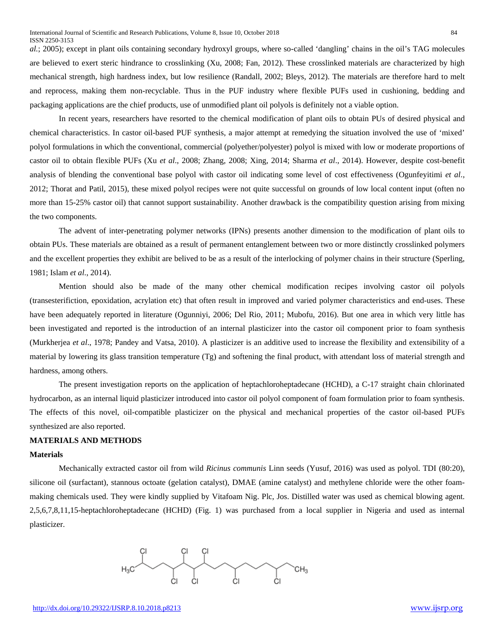*al.*; 2005); except in plant oils containing secondary hydroxyl groups, where so-called 'dangling' chains in the oil's TAG molecules are believed to exert steric hindrance to crosslinking (Xu, 2008; Fan, 2012). These crosslinked materials are characterized by high mechanical strength, high hardness index, but low resilience (Randall, 2002; Bleys, 2012). The materials are therefore hard to melt and reprocess, making them non-recyclable. Thus in the PUF industry where flexible PUFs used in cushioning, bedding and packaging applications are the chief products, use of unmodified plant oil polyols is definitely not a viable option.

In recent years, researchers have resorted to the chemical modification of plant oils to obtain PUs of desired physical and chemical characteristics. In castor oil-based PUF synthesis, a major attempt at remedying the situation involved the use of 'mixed' polyol formulations in which the conventional, commercial (polyether/polyester) polyol is mixed with low or moderate proportions of castor oil to obtain flexible PUFs (Xu *et al*., 2008; Zhang, 2008; Xing, 2014; Sharma *et al*., 2014). However, despite cost-benefit analysis of blending the conventional base polyol with castor oil indicating some level of cost effectiveness (Ogunfeyitimi *et al.*, 2012; Thorat and Patil, 2015), these mixed polyol recipes were not quite successful on grounds of low local content input (often no more than 15-25% castor oil) that cannot support sustainability. Another drawback is the compatibility question arising from mixing the two components.

The advent of inter-penetrating polymer networks (IPNs) presents another dimension to the modification of plant oils to obtain PUs. These materials are obtained as a result of permanent entanglement between two or more distinctly crosslinked polymers and the excellent properties they exhibit are belived to be as a result of the interlocking of polymer chains in their structure (Sperling, 1981; Islam *et al*., 2014).

Mention should also be made of the many other chemical modification recipes involving castor oil polyols (transesterifiction, epoxidation, acrylation etc) that often result in improved and varied polymer characteristics and end-uses. These have been adequately reported in literature (Ogunniyi, 2006; Del Rio, 2011; Mubofu, 2016). But one area in which very little has been investigated and reported is the introduction of an internal plasticizer into the castor oil component prior to foam synthesis (Murkherjea *et al*., 1978; Pandey and Vatsa, 2010). A plasticizer is an additive used to increase the flexibility and extensibility of a material by lowering its glass transition temperature (Tg) and softening the final product, with attendant loss of material strength and hardness, among others.

The present investigation reports on the application of heptachloroheptadecane (HCHD), a C-17 straight chain chlorinated hydrocarbon, as an internal liquid plasticizer introduced into castor oil polyol component of foam formulation prior to foam synthesis. The effects of this novel, oil-compatible plasticizer on the physical and mechanical properties of the castor oil-based PUFs synthesized are also reported.

# **MATERIALS AND METHODS**

#### **Materials**

Mechanically extracted castor oil from wild *Ricinus communis* Linn seeds (Yusuf, 2016) was used as polyol. TDI (80:20), silicone oil (surfactant), stannous octoate (gelation catalyst), DMAE (amine catalyst) and methylene chloride were the other foammaking chemicals used. They were kindly supplied by Vitafoam Nig. Plc, Jos. Distilled water was used as chemical blowing agent. 2,5,6,7,8,11,15-heptachloroheptadecane (HCHD) (Fig. 1) was purchased from a local supplier in Nigeria and used as internal plasticizer.

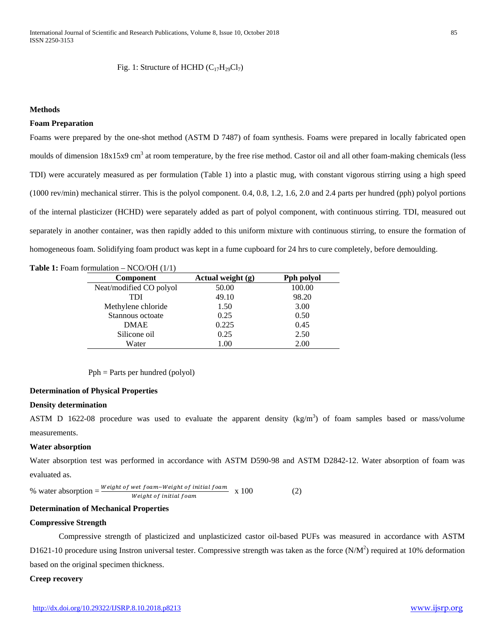Fig. 1: Structure of HCHD  $(C_{17}H_{29}Cl_7)$ 

#### **Methods**

#### **Foam Preparation**

Foams were prepared by the one-shot method (ASTM D 7487) of foam synthesis. Foams were prepared in locally fabricated open moulds of dimension  $18x15x9$  cm<sup>3</sup> at room temperature, by the free rise method. Castor oil and all other foam-making chemicals (less TDI) were accurately measured as per formulation (Table 1) into a plastic mug, with constant vigorous stirring using a high speed (1000 rev/min) mechanical stirrer. This is the polyol component. 0.4, 0.8, 1.2, 1.6, 2.0 and 2.4 parts per hundred (pph) polyol portions of the internal plasticizer (HCHD) were separately added as part of polyol component, with continuous stirring. TDI, measured out separately in another container, was then rapidly added to this uniform mixture with continuous stirring, to ensure the formation of homogeneous foam. Solidifying foam product was kept in a fume cupboard for 24 hrs to cure completely, before demoulding.

#### **Table 1:** Foam formulation – NCO/OH (1/1)

| <b>Component</b>        | Actual weight (g) | Pph polyol |  |
|-------------------------|-------------------|------------|--|
| Neat/modified CO polyol | 50.00             | 100.00     |  |
| TDI                     | 49.10             | 98.20      |  |
| Methylene chloride      | 1.50              | 3.00       |  |
| Stannous octoate        | 0.25              | 0.50       |  |
| <b>DMAE</b>             | 0.225             | 0.45       |  |
| Silicone oil            | 0.25              | 2.50       |  |
| Water                   | 1.00              | 2.00       |  |

Pph = Parts per hundred (polyol)

#### **Determination of Physical Properties**

#### **Density determination**

ASTM D 1622-08 procedure was used to evaluate the apparent density  $(kg/m<sup>3</sup>)$  of foam samples based or mass/volume measurements.

#### **Water absorption**

Water absorption test was performed in accordance with ASTM D590-98 and ASTM D2842-12. Water absorption of foam was evaluated as.

% water absorption = 
$$
\frac{Weight \ of \ wet \ f\oam - Weight \ of \ initial \ f\oam}{Weight \ of \ initial \ f\oam} \quad x \quad 100
$$
 (2)

#### **Determination of Mechanical Properties**

#### **Compressive Strength**

Compressive strength of plasticized and unplasticized castor oil-based PUFs was measured in accordance with ASTM D1621-10 procedure using Instron universal tester. Compressive strength was taken as the force  $(N/M^2)$  required at 10% deformation based on the original specimen thickness.

#### **Creep recovery**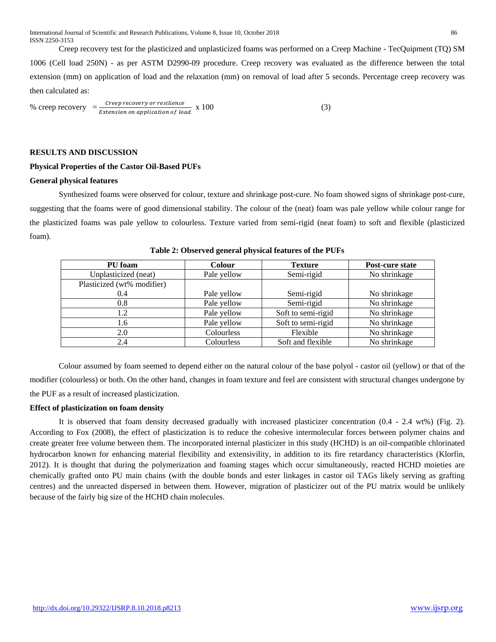International Journal of Scientific and Research Publications, Volume 8, Issue 10, October 2018 86 ISSN 2250-3153

Creep recovery test for the plasticized and unplasticized foams was performed on a Creep Machine - TecQuipment (TQ) SM 1006 (Cell load 250N) - as per ASTM D2990-09 procedure. Creep recovery was evaluated as the difference between the total extension (mm) on application of load and the relaxation (mm) on removal of load after 5 seconds. Percentage creep recovery was then calculated as:

% creep recovery 
$$
=\frac{Creep\ recovers\text{ }or\text{ }resilience}}{Extension\text{ }on\text{ }application\text{ }of\text{ }load}
$$
 x 100 (3)

#### **RESULTS AND DISCUSSION**

#### **Physical Properties of the Castor Oil-Based PUFs**

#### **General physical features**

Synthesized foams were observed for colour, texture and shrinkage post-cure. No foam showed signs of shrinkage post-cure, suggesting that the foams were of good dimensional stability. The colour of the (neat) foam was pale yellow while colour range for the plasticized foams was pale yellow to colourless. Texture varied from semi-rigid (neat foam) to soft and flexible (plasticized foam).

| PU foam                    | Colour      | <b>Texture</b>     | Post-cure state |
|----------------------------|-------------|--------------------|-----------------|
| Unplasticized (neat)       | Pale yellow | Semi-rigid         | No shrinkage    |
| Plasticized (wt% modifier) |             |                    |                 |
| 0.4                        | Pale yellow | Semi-rigid         | No shrinkage    |
| 0.8                        | Pale yellow | Semi-rigid         | No shrinkage    |
| 1.2                        | Pale yellow | Soft to semi-rigid | No shrinkage    |
| 1.6                        | Pale yellow | Soft to semi-rigid | No shrinkage    |
| 2.0                        | Colourless  | Flexible           | No shrinkage    |
| 2.4                        | Colourless  | Soft and flexible  | No shrinkage    |

**Table 2: Observed general physical features of the PUFs**

Colour assumed by foam seemed to depend either on the natural colour of the base polyol - castor oil (yellow) or that of the modifier (colourless) or both. On the other hand, changes in foam texture and feel are consistent with structural changes undergone by the PUF as a result of increased plasticization.

#### **Effect of plasticization on foam density**

It is observed that foam density decreased gradually with increased plasticizer concentration (0.4 - 2.4 wt%) (Fig. 2). According to Fox (2008), the effect of plasticization is to reduce the cohesive intermolecular forces between polymer chains and create greater free volume between them. The incorporated internal plasticizer in this study (HCHD) is an oil-compatible chlorinated hydrocarbon known for enhancing material flexibility and extensivility, in addition to its fire retardancy characteristics (Klorfin, 2012). It is thought that during the polymerization and foaming stages which occur simultaneously, reacted HCHD moieties are chemically grafted onto PU main chains (with the double bonds and ester linkages in castor oil TAGs likely serving as grafting centres) and the unreacted dispersed in between them. However, migration of plasticizer out of the PU matrix would be unlikely because of the fairly big size of the HCHD chain molecules.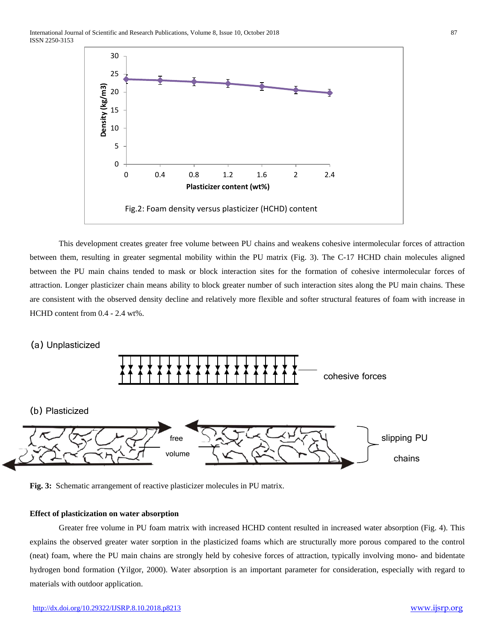

This development creates greater free volume between PU chains and weakens cohesive intermolecular forces of attraction between them, resulting in greater segmental mobility within the PU matrix (Fig. 3). The C-17 HCHD chain molecules aligned between the PU main chains tended to mask or block interaction sites for the formation of cohesive intermolecular forces of attraction. Longer plasticizer chain means ability to block greater number of such interaction sites along the PU main chains. These are consistent with the observed density decline and relatively more flexible and softer structural features of foam with increase in HCHD content from 0.4 - 2.4 wt%.

## (a) Unplasticized





#### **Effect of plasticization on water absorption**

Greater free volume in PU foam matrix with increased HCHD content resulted in increased water absorption (Fig. 4). This explains the observed greater water sorption in the plasticized foams which are structurally more porous compared to the control (neat) foam, where the PU main chains are strongly held by cohesive forces of attraction, typically involving mono- and bidentate hydrogen bond formation (Yilgor, 2000). Water absorption is an important parameter for consideration, especially with regard to materials with outdoor application.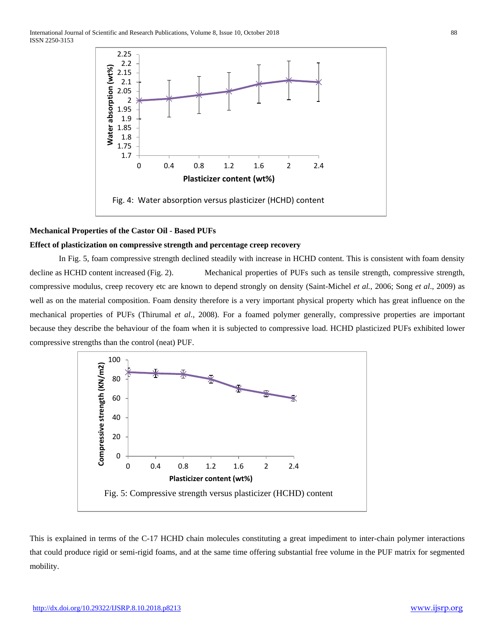

# **Mechanical Properties of the Castor Oil - Based PUFs**

# **Effect of plasticization on compressive strength and percentage creep recovery**

In Fig. 5, foam compressive strength declined steadily with increase in HCHD content. This is consistent with foam density decline as HCHD content increased (Fig. 2). Mechanical properties of PUFs such as tensile strength, compressive strength, compressive modulus, creep recovery etc are known to depend strongly on density (Saint-Michel *et al.*, 2006; Song *et al*., 2009) as well as on the material composition. Foam density therefore is a very important physical property which has great influence on the mechanical properties of PUFs (Thirumal *et al*., 2008). For a foamed polymer generally, compressive properties are important because they describe the behaviour of the foam when it is subjected to compressive load. HCHD plasticized PUFs exhibited lower compressive strengths than the control (neat) PUF.



This is explained in terms of the C-17 HCHD chain molecules constituting a great impediment to inter-chain polymer interactions that could produce rigid or semi-rigid foams, and at the same time offering substantial free volume in the PUF matrix for segmented mobility.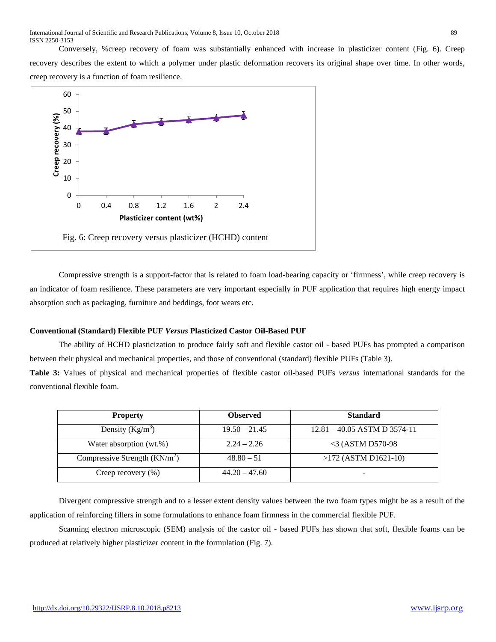Conversely, %creep recovery of foam was substantially enhanced with increase in plasticizer content (Fig. 6). Creep recovery describes the extent to which a polymer under plastic deformation recovers its original shape over time. In other words, creep recovery is a function of foam resilience.



Compressive strength is a support-factor that is related to foam load-bearing capacity or 'firmness', while creep recovery is an indicator of foam resilience. These parameters are very important especially in PUF application that requires high energy impact absorption such as packaging, furniture and beddings, foot wears etc.

### **Conventional (Standard) Flexible PUF** *Versus* **Plasticized Castor Oil-Based PUF**

The ability of HCHD plasticization to produce fairly soft and flexible castor oil - based PUFs has prompted a comparison between their physical and mechanical properties, and those of conventional (standard) flexible PUFs (Table 3).

**Table 3:** Values of physical and mechanical properties of flexible castor oil-based PUFs *versus* international standards for the conventional flexible foam.

| <b>Property</b>                | <b>Observed</b> | <b>Standard</b>                |
|--------------------------------|-----------------|--------------------------------|
| Density $(Kg/m^3)$             | $19.50 - 21.45$ | $12.81 - 40.05$ ASTM D 3574-11 |
| Water absorption (wt.%)        | $2.24 - 2.26$   | $<$ 3 (ASTM D570-98            |
| Compressive Strength $(KN/m2)$ | $48.80 - 51$    | $>172$ (ASTM D1621-10)         |
| Creep recovery (%)             | $44.20 - 47.60$ | -                              |

Divergent compressive strength and to a lesser extent density values between the two foam types might be as a result of the application of reinforcing fillers in some formulations to enhance foam firmness in the commercial flexible PUF.

Scanning electron microscopic (SEM) analysis of the castor oil - based PUFs has shown that soft, flexible foams can be produced at relatively higher plasticizer content in the formulation (Fig. 7).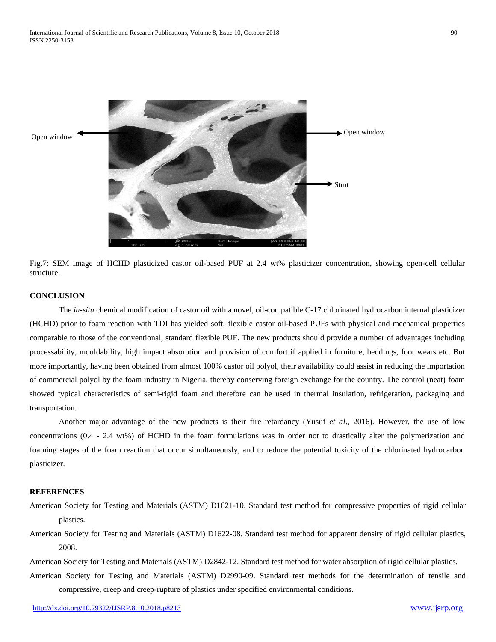

Fig.7: SEM image of HCHD plasticized castor oil-based PUF at 2.4 wt% plasticizer concentration, showing open-cell cellular structure.

# **CONCLUSION**

The *in-situ* chemical modification of castor oil with a novel, oil-compatible C-17 chlorinated hydrocarbon internal plasticizer (HCHD) prior to foam reaction with TDI has yielded soft, flexible castor oil-based PUFs with physical and mechanical properties comparable to those of the conventional, standard flexible PUF. The new products should provide a number of advantages including processability, mouldability, high impact absorption and provision of comfort if applied in furniture, beddings, foot wears etc. But more importantly, having been obtained from almost 100% castor oil polyol, their availability could assist in reducing the importation of commercial polyol by the foam industry in Nigeria, thereby conserving foreign exchange for the country. The control (neat) foam showed typical characteristics of semi-rigid foam and therefore can be used in thermal insulation, refrigeration, packaging and transportation.

Another major advantage of the new products is their fire retardancy (Yusuf *et al*., 2016). However, the use of low concentrations (0.4 - 2.4 wt%) of HCHD in the foam formulations was in order not to drastically alter the polymerization and foaming stages of the foam reaction that occur simultaneously, and to reduce the potential toxicity of the chlorinated hydrocarbon plasticizer.

#### **REFERENCES**

- American Society for Testing and Materials (ASTM) D1621-10. Standard test method for compressive properties of rigid cellular plastics.
- American Society for Testing and Materials (ASTM) D1622-08. Standard test method for apparent density of rigid cellular plastics, 2008.

American Society for Testing and Materials (ASTM) D2842-12. Standard test method for water absorption of rigid cellular plastics.

American Society for Testing and Materials (ASTM) D2990-09. Standard test methods for the determination of tensile and compressive, creep and creep-rupture of plastics under specified environmental conditions.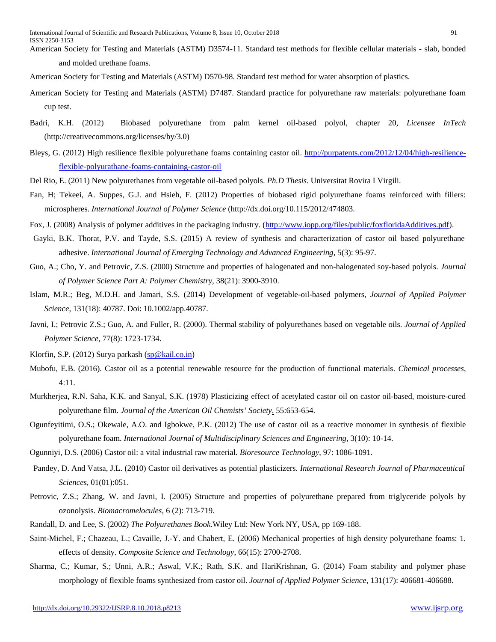American Society for Testing and Materials (ASTM) D3574-11. Standard test methods for flexible cellular materials - slab, bonded and molded urethane foams.

- American Society for Testing and Materials (ASTM) D570-98. Standard test method for water absorption of plastics.
- American Society for Testing and Materials (ASTM) D7487. Standard practice for polyurethane raw materials: polyurethane foam cup test.
- Badri, K.H. (2012) Biobased polyurethane from palm kernel oil-based polyol, chapter 20, *Licensee InTech* (http://creativecommons.org/licenses/by/3.0)
- Bleys, G. (2012) High resilience flexible polyurethane foams containing castor oil. [http://purpatents.com/2012/12/04/high-resilience](http://purpatents.com/2012/12/04/high-resilience-flexible-polyurathane-foams-containing-castor-oil)[flexible-polyurathane-foams-containing-castor-oil](http://purpatents.com/2012/12/04/high-resilience-flexible-polyurathane-foams-containing-castor-oil)
- Del Rio, E. (2011) New polyurethanes from vegetable oil-based polyols. *Ph.D Thesis*. Universitat Rovira I Virgili.
- Fan, H; Tekeei, A. Suppes, G.J. and Hsieh, F. (2012) Properties of biobased rigid polyurethane foams reinforced with fillers: microspheres. *International Journal of Polymer Science* (http://dx.doi.org/10.115/2012/474803.
- Fox, J. (2008) Analysis of polymer additives in the packaging industry. [\(http://www.iopp.org/files/public/foxfloridaAdditives.pdf\)](http://www.iopp.org/files/public/foxfloridaAdditives.pdf).
- Gayki, B.K. Thorat, P.V. and Tayde, S.S. (2015) A review of synthesis and characterization of castor oil based polyurethane adhesive. *International Journal of Emerging Technology and Advanced Engineering,* 5(3): 95-97.
- Guo, A.; Cho, Y. and Petrovic, Z.S. (2000) Structure and properties of halogenated and non-halogenated soy-based polyols. *Journal of Polymer Science Part A: Polymer Chemistry*, 38(21): 3900-3910.
- Islam, M.R.; Beg, M.D.H. and Jamari, S.S. (2014) Development of vegetable-oil-based polymers, *Journal of Applied Polymer Science*, 131(18): 40787. Doi: 10.1002/app.40787.
- Javni, I.; Petrovic Z.S.; Guo, A. and Fuller, R. (2000). Thermal stability of polyurethanes based on vegetable oils. *Journal of Applied Polymer Science*, 77(8): 1723-1734.
- Klorfin, S.P. (2012) Surya parkash [\(sp@kail.co.in\)](mailto:sp@kail.co.in)
- Mubofu, E.B. (2016). Castor oil as a potential renewable resource for the production of functional materials. *Chemical processes*, 4:11.
- Murkherjea, R.N. Saha, K.K. and Sanyal, S.K. (1978) Plasticizing effect of acetylated castor oil on castor oil-based, moisture-cured polyurethane film. *Journal of the American Oil Chemists' Society*. 55:653-654.
- Ogunfeyitimi, O.S.; Okewale, A.O. and Igbokwe, P.K. (2012) The use of castor oil as a reactive monomer in synthesis of flexible polyurethane foam. *International Journal of Multidisciplinary Sciences and Engineering*, 3(10): 10-14.
- Ogunniyi, D.S. (2006) Castor oil: a vital industrial raw material. *Bioresource Technology*, 97: 1086-1091.
- Pandey, D. And Vatsa, J.L. (2010) Castor oil derivatives as potential plasticizers. *International Research Journal of Pharmaceutical Sciences,* 01(01):051.
- Petrovic, Z.S.; Zhang, W. and Javni, I. (2005) Structure and properties of polyurethane prepared from triglyceride polyols by ozonolysis. *Biomacromelocules*, 6 (2): 713-719.
- Randall, D. and Lee, S. (2002) *The Polyurethanes Book.*Wiley Ltd: New York NY, USA, pp 169-188.
- Saint-Michel, F.; Chazeau, L.; Cavaille, J.-Y. and Chabert, E. (2006) Mechanical properties of high density polyurethane foams: 1. effects of density. *Composite Science and Technology*, 66(15): 2700-2708.
- Sharma, C.; Kumar, S.; Unni, A.R.; Aswal, V.K.; Rath, S.K. and HariKrishnan, G. (2014) Foam stability and polymer phase morphology of flexible foams synthesized from castor oil. *Journal of Applied Polymer Science*, 131(17): 406681-406688.